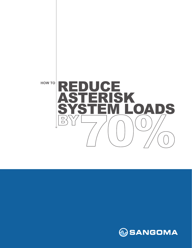

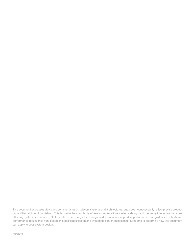This document expresses views and commentaries on telecom systems and architectures, and does not necessarily reflect precise product capabilities at time of publishing. This is due to the complexity of telecommunications systems design and the many interactive variables affecting system performance. Statements in this or any other Sangoma document about product performance are guidelines only. Actual performance results may vary based on specific application and system design. Please consult Sangoma to determine how this document can apply to your system design.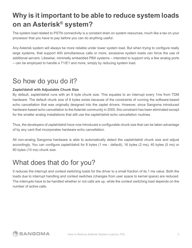# **Why is it important to be able to reduce system loads on an Asterisk® system?**

The system load related to PSTN connectivity is a constant drain on system resources, much like a tax on your processor that you have to pay before you can do anything useful.

Any Asterisk system will always be more reliable under lower system load. But when trying to configure really large systems, that support 400 simultaneous calls or more, excessive system loads can force the use of additional servers. Likewise, minimally embedded PBX systems – intended to support only a few analog ports – can be employed to handle a T1/E1 and more, simply by reducing system load.

## So how do you do it?

#### **Zaptel/dahdi with Adjustable Chunk Size**

By default, zaptel/dahdi runs with an 8 byte chunk size. This equates to an interrupt every 1ms from TDM hardware. The default chunk size of 8 bytes exists because of the constraints of running the software-based echo cancellation that was originally designed into the zaptel drivers. However, since Sangoma introduced hardware-based echo cancellation to the Asterisk community in 2005, this constraint has been eliminated except for the smaller analog installations that still use the zaptel/dahdi echo cancellation routines.

Thus, the developers of zaptel/dahdi have now introduced a configurable chunk size that can be taken advantage of by any card that incorporates hardware echo cancellation.

All non-analog Sangoma hardware is able to automatically detect the zaptel/dahdi chunk size and adjust accordingly. You can configure zaptel/dahdi for 8 bytes (1 ms - default), 16 bytes (2 ms), 40 bytes (5 ms) or 80 bytes (10 ms) chunk size.

#### What does that do for you?

It reduces the interrupt and context switching loads for the driver to a small fraction of its 1 ms value. Both the loads due to interrupt handling and context switches (changes from user space to kernel space) are reduced. The interrupts have to be handled whether or not calls are up, while the context switching load depends on the number of active calls.

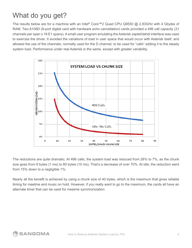# What do you get?

The results below are for a machine with an Intel® Core™2 Quad CPU Q9550 @ 2.83GHz with 4 Gbytes of RAM. Two A108D (8-port digital card with hardware echo cancellation) cards provided a 496 call capacity (31 channels per span x 16 E1 spans). A small user program emulating the Asterisk zaptel/dahdi interface was used to exercise the driver. It avoided the variations of load in user space that would occur with Asterisk itself, and allowed the use of the channels, normally used for the D channel, to be used for "calls" adding it to the steady system load. Performance under real Asterisk is the same, except with greater variability.



The reductions are quite dramatic. At 496 calls, the system load was reduced from 26% to 7%, as the chunk size goes from 8 bytes (1 ms) to 80 bytes (10 ms). That's a decrease of over 70%. At idle, the reduction went from 15% down to a negligible 1%.

Nearly all the benefit is achieved by using a chunk size of 40 bytes, which is the maximum that gives reliable timing for meetme and music on hold. However, if you really want to go to the maximum, the cards all have an alternate timer that can be used for meetme synchronization.

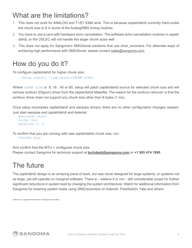## What are the limitations?

- 1. This does not work for ANALOG and T1/E1 E&M wink. This is because zaptel/dahdi currently hard-codes the chunk size to 8 in some of the Analog/RBS timing routines.
- 2. You have to use a card with hardware echo cancellation. The software echo cancellation routines in zaptel/ dahdi, or the OSLEC will not handle the larger chunk sizes well.
- 3. This does not apply for Sangoma's SMG/boost solutions that use chan\_woomera. For alternate ways of achieving high performance with SMG/boost, please contact sales@sangoma.com.

#### How do you do it?

To configure zaptel/dahdi for higher chunk size:

```
 ./Setup install --zap-chunk=<CHUNK SIZE>
```
Where CHUNK SIZE is 8, 16, 40 or 80, setup will patch zaptel/dahdi source for selected chunk size and will remove wct4xxx (Digium) driver from the zaptel/dahdi Makefile. The reason for the wct4xxx removal is that the wct4xxx driver does not support any chunk size other than 8 bytes (1 ms).

Once setup recompiles zaptel/dahdi and wanpipe drivers, there are no other configuration changes needed. Just start wanpipe and zaptel/dahdi and Asterisk:

```
 wanrouter start
 ztcfg –vvv
 asterisk -c -r
```
To confirm that you are running with new zaptel/dahdi chunk size, run: ifconfig w1g1

And confirm that the MTU = configured chunk size. Please contact Sangoma for technical support at **techdesk@sangoma.com** or **+1 905 474 1990**.

### The future

The zaptl/dahdi design is an amazing piece of work, but was never designed for large systems, or systems not as large, yet still operate on marginal software. There is – believe it or not – still considerable scope for further significant reductions in system load by changing the system architecture. Watch for additional information from Sangoma for lowering system loads using SMG/woomera on Asterisk, FreeSwitch, Yate and others.

*Asterisk is a registered trademark of Digium Corporation.*

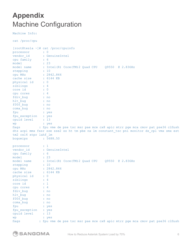# **Appendix** Machine Configuration

Machine Info:

cat /proc/cpu

|                                    | [root@tesla ~ ]# cat /proc/cpuinfo                                                        |
|------------------------------------|-------------------------------------------------------------------------------------------|
| processor                          | $\colon 0$                                                                                |
| vendor id                          | : GenuineIntel                                                                            |
| cpu family : 6                     |                                                                                           |
| model                              | $\therefore$ 23                                                                           |
|                                    | model name : Intel (R) Core (TM) 2 Quad CPU Q9550 @ 2.83GHz                               |
| stepping                           | $\cdots$ $\cdots$ $\cdots$                                                                |
| cpu MHz                            | : 2842.866                                                                                |
| cache size : 6144 KB               |                                                                                           |
| physical id : 0                    |                                                                                           |
| siblings                           | $\therefore$ 4                                                                            |
| core id                            | $\sim$ $\sim$ $\sim$ 0                                                                    |
| cpu cores : 4                      |                                                                                           |
| fdiv bug                           | $\ldots$ : no                                                                             |
| hlt bug                            | $\ldots$ $\ldots$                                                                         |
| f00f bug                           | : no                                                                                      |
|                                    | $\ldots$ $\ldots$                                                                         |
| coma bug                           | : yes                                                                                     |
| fpu                                |                                                                                           |
| fpu exception : yes<br>cpuid level | : 13                                                                                      |
|                                    |                                                                                           |
| wp                                 | : yes                                                                                     |
| flags                              | : fpu vme de pse tsc msr pae mce cx8 apic mtrr pge mca cmov pat pse36 clflush             |
|                                    | dts acpi mmx fxsr sse sse2 ss ht tm pbe nx lm constant tsc pni monitor ds cpl vmx smx est |
| tm2 cx16 xtpr lahf lm              |                                                                                           |
| bogomips                           | : 5688.50                                                                                 |
| processor                          | $\therefore$ 1                                                                            |
|                                    | vendor id : GenuineIntel                                                                  |
| cpu family : 6                     |                                                                                           |
| model                              | $\therefore$ 23                                                                           |
|                                    | model name : Intel (R) Core (TM) 2 Quad CPU Q9550 @ 2.83GHz                               |
| stepping                           | $\therefore$ 10                                                                           |
| cpu MHz                            | : 2842.866                                                                                |
| cache size                         | : 6144 KB                                                                                 |
| physical id : 0                    |                                                                                           |
| siblings                           | $\therefore$ 4                                                                            |
| core id                            | $\cdot$ 1                                                                                 |
| cpu cores                          | : 4                                                                                       |
| fdiv bug                           | : no                                                                                      |
| hlt_bug                            | : no                                                                                      |
| f00f bug                           | : no                                                                                      |
| coma bug                           | : no                                                                                      |
| fpu                                |                                                                                           |
|                                    |                                                                                           |
|                                    | : yes                                                                                     |
| fpu exception                      | : yes                                                                                     |
| cpuid level                        | : 13                                                                                      |
| wp<br>flags                        | : yes<br>: fpu vme de pse tsc msr pae mce cx8 apic mtrr pge mca cmov pat pse36 clflush    |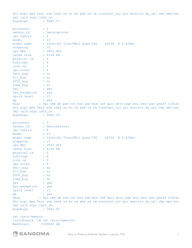dts acpi mmx fxsr sse sse2 ss ht tm pbe nx lm constant\_tsc pni monitor ds\_cpl vmx smx est tm2 cx16 xtpr lahf\_lm bogomips : 5685.57 processor : 2<br>vendor id : Go : GenuineIntel<br>: 6 cpu family : 6<br>model : 23  $model$ model name : Intel(R) Core(TM)2 Quad CPU Q9550 @ 2.83GHz<br>stepping : 10 stepping : 10<br>
cpu MHz : 2842.866 cpu MHz : 2842.866 cache size : 6144 KB physical id : 0 siblings : 4 core id : 2 cpu cores : 4 fdiv\_bug : no<br>hlt bug : no hlt bug f00f bug : no coma\_bug : no<br>fpu : yes fpu : yes fpu\_exception : yes cpuid level : 13 wp : yes flags : fpu vme de pse tsc msr pae mce cx8 apic mtrr pge mca cmov pat pse36 clflush dts acpi mmx fxsr sse sse2 ss ht tm pbe nx lm constant\_tsc pni monitor ds\_cpl vmx smx est tm2 cx16 xtpr lahf\_lm bogomips : 5685.59 processor : 3 vendor\_id : GenuineIntel cpu family : 6 model : 23 model name : Intel(R) Core(TM)2 Quad CPU Q9550 @ 2.83GHz<br>stepping : 10 stepping : 10 cpu MHz : 2842.866 cache size : 6144 KB physical id : 0 siblings : 4 core id : 3<br>cpu cores : 4 cpu cores fdiv\_bug : no<br>hlt bug : no hlt\_bug : no<br>f00f bug : no f00f bug coma\_bug : no fpu : yes fpu exception : yes cpuid level : 13 wp : yes fl ags : fpu vme de pse tsc msr pae mce cx8 apic mtrr pge mca cmov pat pse36 clfl ush dts acpi mmx fxsr sse sse2 ss ht tm pbe nx lm constant\_tsc pni monitor ds\_cpl vmx smx est tm2 cx16 xtpr lahf\_lm<br>bogomips : 5685.60 bogomips :

cat /proc/memory [root@tesla ~]# cat /proc/meminfo MemTotal: 3369408 kB

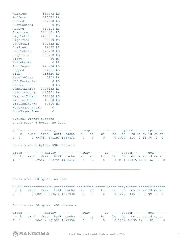| MemFree:<br>Buffers:<br>Cached:<br>SwapCached:<br>Active:<br>Inactive:<br>HighTotal:<br>HighFree: 868080 kB<br>LowTotal: 879552 kB<br>LowFree: 12892 kB<br>SwapTotal: 923728 kB<br>SwapFree: 923728 kB<br>Dirty:<br>Writeback:<br>AnonPages: 223984 kB<br>Mapped:<br>Slab:<br>PageTables:<br>NFS Unstable:<br>Bounce:<br>CommitLimit: 2608432 kB<br>Committed AS: 410352 kB<br>VmallocTotal: 114680 kB<br>VmallocUsed: 45960 kB<br>VmallocChunk:<br>HugePages Total: | 880972 kB<br>593672 kB<br>1377928 kB<br>$0$ $kB$<br>910204 kB<br>1285396 kB<br>2489856 kB<br>80 kB<br>$0$ $kB$<br>67616 kB<br>266820 kB<br>5708 kB<br>0 kB<br>$0$ $kB$<br>64500 kB<br>$\overline{0}$          |                      |                      |                      |    |        |                            |         |                                  |  |
|----------------------------------------------------------------------------------------------------------------------------------------------------------------------------------------------------------------------------------------------------------------------------------------------------------------------------------------------------------------------------------------------------------------------------------------------------------------------|---------------------------------------------------------------------------------------------------------------------------------------------------------------------------------------------------------------|----------------------|----------------------|----------------------|----|--------|----------------------------|---------|----------------------------------|--|
| HugePages Free:<br>Typical vmstat outputs                                                                                                                                                                                                                                                                                                                                                                                                                            | O<br>Chunk size= 8 bytes, no load                                                                                                                                                                             |                      |                      |                      |    |        |                            |         |                                  |  |
| $\mathbf{b}$<br>$\mathbf{r}$<br>swpd<br>$0\quad 0$                                                                                                                                                                                                                                                                                                                                                                                                                   | procs -----------memory--------- ---swap-- ----io---- --system-- -----cpu------<br>buff cache<br>free<br>0 798684 591196 1459432<br>Chunk size= 8 bytes, 496 channels                                         | si<br>$\overline{0}$ | SO<br>$\overline{0}$ | bi<br>$\overline{0}$ | bo | 0 3027 | in cs us sy id wast<br>514 | 0 14 86 | $\overline{0}$<br>$\overline{0}$ |  |
|                                                                                                                                                                                                                                                                                                                                                                                                                                                                      | procs ------------memory---------- ---swap-- -----io---- --system-- -----cpu------<br>r b swpd free buff cache si so bi bo in csus sy idwast<br>4 0 0 625020 589796 1459612 0 0 0 0 0 3071 65015 12 26 62 0 0 |                      |                      |                      |    |        |                            |         |                                  |  |
|                                                                                                                                                                                                                                                                                                                                                                                                                                                                      | Chunk size= 80 bytes, no load                                                                                                                                                                                 |                      |                      |                      |    |        |                            |         |                                  |  |
|                                                                                                                                                                                                                                                                                                                                                                                                                                                                      | procs -------------------------- ---swap-- -----io---- --system-- -----cpu------<br>r b swpd free buff cache si so bi bo in csus sy idwast<br>0 0 0 0 882400 593672 1377936 0 0 0 0 0 0 1226 446 0 1 99 0 0   |                      |                      |                      |    |        |                            |         |                                  |  |
|                                                                                                                                                                                                                                                                                                                                                                                                                                                                      | Chunk size= 80 bytes, 496 channels                                                                                                                                                                            |                      |                      |                      |    |        |                            |         |                                  |  |
|                                                                                                                                                                                                                                                                                                                                                                                                                                                                      | procs ------------memory---------- ---swap-- -----io---- --system-- -----cpu------<br>r b swpd free buff cache si so bi bo in csussyidwast<br>6 0 0 706272 591500 1377936 0 0 0 0 0 1209 46195 12 6 81 0 0    |                      |                      |                      |    |        |                            |         |                                  |  |